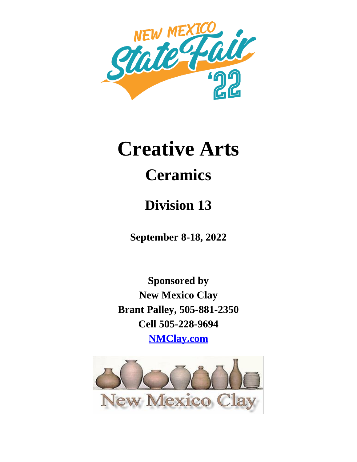

# **Creative Arts**

## **Ceramics**

### **Division 13**

**September 8-18, 2022**

**Sponsored by New Mexico Clay Brant Palley, 505-881-2350 Cell 505-228-9694 NMClay.com**

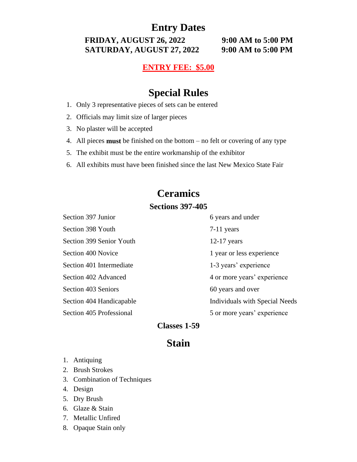**Entry Dates**

**FRIDAY, AUGUST 26, 2022 9:00 AM to 5:00 PM SATURDAY, AUGUST 27, 2022 9:00 AM to 5:00 PM**

**ENTRY FEE: \$5.00**

#### **Special Rules**

- 1. Only 3 representative pieces of sets can be entered
- 2. Officials may limit size of larger pieces
- 3. No plaster will be accepted
- 4. All pieces **must** be finished on the bottom no felt or covering of any type
- 5. The exhibit must be the entire workmanship of the exhibitor
- 6. All exhibits must have been finished since the last New Mexico State Fair

#### **Ceramics**

#### **Sections 397-405**

| Section 397 Junior       | 6 years and under              |
|--------------------------|--------------------------------|
| Section 398 Youth        | $7-11$ years                   |
| Section 399 Senior Youth | $12-17$ years                  |
| Section 400 Novice       | 1 year or less experience      |
| Section 401 Intermediate | 1-3 years' experience          |
| Section 402 Advanced     | 4 or more years' experience    |
| Section 403 Seniors      | 60 years and over              |
| Section 404 Handicapable | Individuals with Special Needs |
| Section 405 Professional | 5 or more years' experience    |

#### **Classes 1-59**

#### **Stain**

- 1. Antiquing
- 2. Brush Strokes
- 3. Combination of Techniques
- 4. Design
- 5. Dry Brush
- 6. Glaze & Stain
- 7. Metallic Unfired
- 8. Opaque Stain only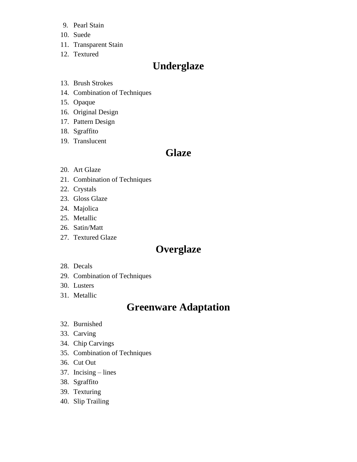- 9. Pearl Stain
- 10. Suede
- 11. Transparent Stain
- 12. Textured

#### **Underglaze**

- 13. Brush Strokes
- 14. Combination of Techniques
- 15. Opaque
- 16. Original Design
- 17. Pattern Design
- 18. Sgraffito
- 19. Translucent

#### **Glaze**

- 20. Art Glaze
- 21. Combination of Techniques
- 22. Crystals
- 23. Gloss Glaze
- 24. Majolica
- 25. Metallic
- 26. Satin/Matt
- 27. Textured Glaze

#### **Overglaze**

- 28. Decals
- 29. Combination of Techniques
- 30. Lusters
- 31. Metallic

#### **Greenware Adaptation**

- 32. Burnished
- 33. Carving
- 34. Chip Carvings
- 35. Combination of Techniques
- 36. Cut Out
- 37. Incising lines
- 38. Sgraffito
- 39. Texturing
- 40. Slip Trailing